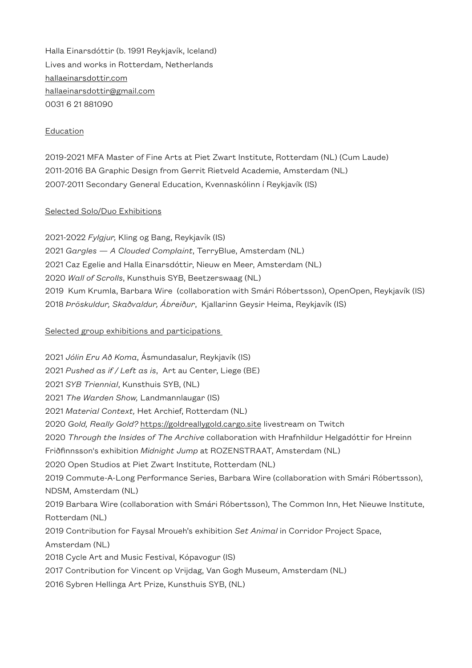Halla Einarsdóttir (b. 1991 Reykjavík, Iceland) Lives and works in Rotterdam, Netherlands [hallaeinarsdottir.com](http://hallaeinarsdottir.com) [hallaeinarsdottir@gmail.com](mailto:hallaeinarsdottir@gmail.com) 0031 6 21 881090

## Education

2019-2021 MFA Master of Fine Arts at Piet Zwart Institute, Rotterdam (NL) (Cum Laude) 2011-2016 BA Graphic Design from Gerrit Rietveld Academie, Amsterdam (NL) 2007-2011 Secondary General Education, Kvennaskólinn í Reykjavík (IS)

## Selected Solo/Duo Exhibitions

2021-2022 *Fylgjur,* Kling og Bang, Reykjavík (IS) 2021 *Gargles — A Clouded Complaint*, TerryBlue, Amsterdam (NL) 2021 Caz Egelie and Halla Einarsdóttir, Nieuw en Meer, Amsterdam (NL) 2020 *Wall of Scrolls*, Kunsthuis SYB, Beetzerswaag (NL) 2019 Kum Krumla, Barbara Wire (collaboration with Smári Róbertsson), OpenOpen, Reykjavík (IS) 2018 *Þröskuldur, Skaðvaldur, Ábreiður*, Kjallarinn Geysir Heima, Reykjavík (IS)

## Selected group exhibitions and participations

2021 *Jólin Eru Að Koma*, Ásmundasalur, Reykjavík (IS) 2021 *Pushed as if / Left as is*, Art au Center, Liege (BE) 2021 *SYB Triennial*, Kunsthuis SYB, (NL) 2021 *The Warden Show,* Landmannlaugar (IS) 2021 *Material Context,* Het Archief, Rotterdam (NL) 2020 *Gold, Really Gold?* <https://goldreallygold.cargo.site>livestream on Twitch 2020 *Through the Insides of The Archive* collaboration with Hrafnhildur Helgadóttir for Hreinn Friðfinnsson's exhibition *Midnight Jump* at ROZENSTRAAT, Amsterdam (NL) 2020 Open Studios at Piet Zwart Institute, Rotterdam (NL) 2019 Commute-A-Long Performance Series, Barbara Wire (collaboration with Smári Róbertsson), NDSM, Amsterdam (NL) 2019 Barbara Wire (collaboration with Smári Róbertsson), The Common Inn, Het Nieuwe Institute, Rotterdam (NL) 2019 Contribution for Faysal Mroueh's exhibition *Set Animal* in Corridor Project Space, Amsterdam (NL) 2018 Cycle Art and Music Festival, Kópavogur (IS) 2017 Contribution for Vincent op Vrijdag, Van Gogh Museum, Amsterdam (NL)

2016 Sybren Hellinga Art Prize, Kunsthuis SYB, (NL)